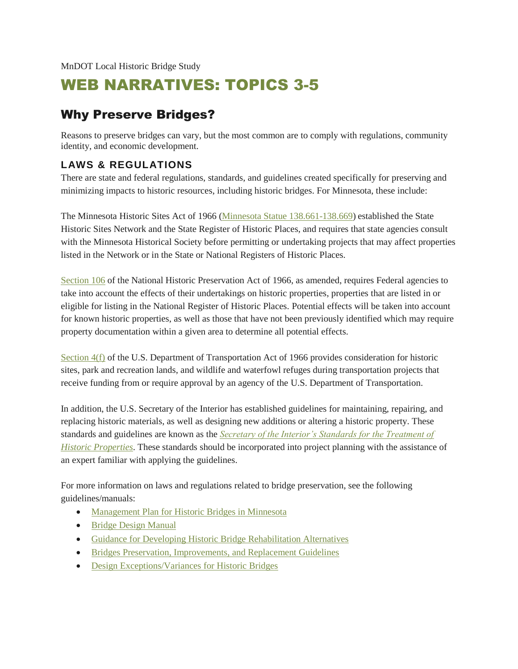# WEB NARRATIVES: TOPICS 3-5

## Why Preserve Bridges?

Reasons to preserve bridges can vary, but the most common are to comply with regulations, community identity, and economic development.

#### **LAWS & REGULATIONS**

There are state and federal regulations, standards, and guidelines created specifically for preserving and minimizing impacts to historic resources, including historic bridges. For Minnesota, these include:

The Minnesota Historic Sites Act of 1966 [\(Minnesota Statue 138.661-138.669\)](https://www.revisor.mn.gov/statutes/?id=138) established the State Historic Sites Network and the State Register of Historic Places, and requires that state agencies consult with the Minnesota Historical Society before permitting or undertaking projects that may affect properties listed in the Network or in the State or National Registers of Historic Places.

[Section 106](http://www.achp.gov/regs-rev04.pdf) of the National Historic Preservation Act of 1966, as amended, requires Federal agencies to take into account the effects of their undertakings on historic properties, properties that are listed in or eligible for listing in the National Register of Historic Places. Potential effects will be taken into account for known historic properties, as well as those that have not been previously identified which may require property documentation within a given area to determine all potential effects.

[Section 4\(f\)](http://www.environment.fhwa.dot.gov/section4f/overview.aspx?i=e#i) of the U.S. Department of Transportation Act of 1966 provides consideration for historic sites, park and recreation lands, and wildlife and waterfowl refuges during transportation projects that receive funding from or require approval by an agency of the U.S. Department of Transportation.

In addition, the U.S. Secretary of the Interior has established guidelines for maintaining, repairing, and replacing historic materials, as well as designing new additions or altering a historic property. These standards and guidelines are known as the *[Secretary of the Interior's Standards for the Treatment of](http://www.nps.gov/tps/standards.htm)  [Historic Properties](http://www.nps.gov/tps/standards.htm)*. These standards should be incorporated into project planning with the assistance of an expert familiar with applying the guidelines.

For more information on laws and regulations related to bridge preservation, see the following guidelines/manuals:

- [Management Plan for Historic Bridges in Minnesota](http://www.dot.state.mn.us/historicbridges/pdf/mgmtplan.pdf)
- [Bridge Design Manual](http://www.dot.state.mn.us/bridge/lrfd.html)
- [Guidance for Developing Historic Bridge Rehabilitation Alternatives](http://dotapp7.dot.state.mn.us/edms/download?docId=1184707)
- [Bridges Preservation, Improvements, and Replacement Guidelines](http://dotapp7.dot.state.mn.us/edms/download?docId=700071)
- [Design Exceptions/Variances for Historic Bridges](http://www.dot.state.mn.us/consult/documents/rfps/02309Exceptions.pdf)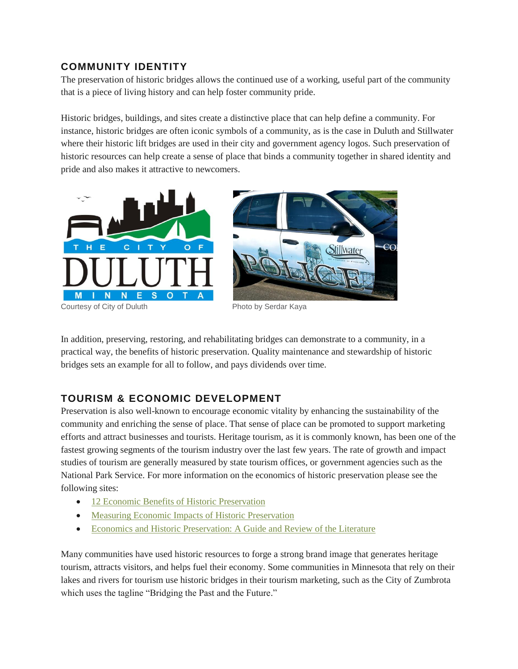#### **COMMUNITY IDENTITY**

The preservation of historic bridges allows the continued use of a working, useful part of the community that is a piece of living history and can help foster community pride.

Historic bridges, buildings, and sites create a distinctive place that can help define a community. For instance, historic bridges are often iconic symbols of a community, as is the case in Duluth and Stillwater where their historic lift bridges are used in their city and government agency logos. Such preservation of historic resources can help create a sense of place that binds a community together in shared identity and pride and also makes it attractive to newcomers.



Courtesy of City of Duluth Photo by Serdar Kaya

In addition, preserving, restoring, and rehabilitating bridges can demonstrate to a community, in a practical way, the benefits of historic preservation. Quality maintenance and stewardship of historic bridges sets an example for all to follow, and pays dividends over time.

### **TOURISM & ECONOMIC DEVELOPMENT**

Preservation is also well-known to encourage economic vitality by enhancing the sustainability of the community and enriching the sense of place. That sense of place can be promoted to support marketing efforts and attract businesses and tourists. Heritage tourism, as it is commonly known, has been one of the fastest growing segments of the tourism industry over the last few years. The rate of growth and impact studies of tourism are generally measured by state tourism offices, or government agencies such as the National Park Service. For more information on the economics of historic preservation please see the following sites:

- [12 Economic Benefits of Historic Preservation](http://my.preservationnation.org/site/DocServer/Economic_Benefits_of_HP_April_2011.pdf?docID=9023)
- [Measuring Economic Impacts of Historic Preservation](http://www.achp.gov/docs/Economic%20Impacts%20v5-FINAL.pdf)
- [Economics and Historic Preservation: A Guide and Review of the Literature](http://www.brookings.edu/~/media/research/files/reports/2005/9/metropolitanpolicy%20mason/20050926_preservation.pdf)

Many communities have used historic resources to forge a strong brand image that generates heritage tourism, attracts visitors, and helps fuel their economy. Some communities in Minnesota that rely on their lakes and rivers for tourism use historic bridges in their tourism marketing, such as the City of Zumbrota which uses the tagline "Bridging the Past and the Future."